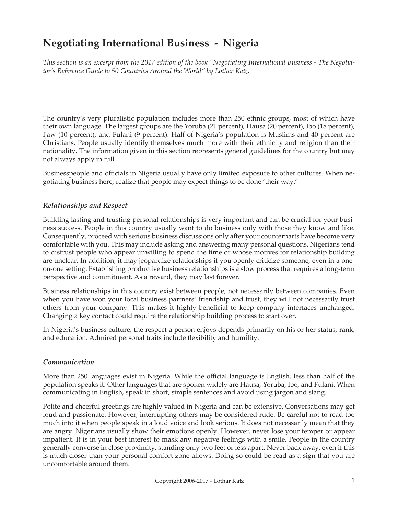# **Negotiating International Business - Nigeria**

*This section is an excerpt from the 2017 edition of the book "Negotiating International Business - The Negotiator's Reference Guide to 50 Countries Around the World" by Lothar Katz.*

The country's very pluralistic population includes more than 250 ethnic groups, most of which have their own language. The largest groups are the Yoruba (21 percent), Hausa (20 percent), Ibo (18 percent), Ijaw (10 percent), and Fulani (9 percent). Half of Nigeria's population is Muslims and 40 percent are Christians. People usually identify themselves much more with their ethnicity and religion than their nationality. The information given in this section represents general guidelines for the country but may not always apply in full.

Businesspeople and officials in Nigeria usually have only limited exposure to other cultures. When negotiating business here, realize that people may expect things to be done 'their way.'

#### *Relationships and Respect*

Building lasting and trusting personal relationships is very important and can be crucial for your business success. People in this country usually want to do business only with those they know and like. Consequently, proceed with serious business discussions only after your counterparts have become very comfortable with you. This may include asking and answering many personal questions. Nigerians tend to distrust people who appear unwilling to spend the time or whose motives for relationship building are unclear. In addition, it may jeopardize relationships if you openly criticize someone, even in a oneon-one setting. Establishing productive business relationships is a slow process that requires a long-term perspective and commitment. As a reward, they may last forever.

Business relationships in this country exist between people, not necessarily between companies. Even when you have won your local business partners' friendship and trust, they will not necessarily trust others from your company. This makes it highly beneficial to keep company interfaces unchanged. Changing a key contact could require the relationship building process to start over.

In Nigeria's business culture, the respect a person enjoys depends primarily on his or her status, rank, and education. Admired personal traits include flexibility and humility.

#### *Communication*

More than 250 languages exist in Nigeria. While the official language is English, less than half of the population speaks it. Other languages that are spoken widely are Hausa, Yoruba, Ibo, and Fulani. When communicating in English, speak in short, simple sentences and avoid using jargon and slang.

Polite and cheerful greetings are highly valued in Nigeria and can be extensive. Conversations may get loud and passionate. However, interrupting others may be considered rude. Be careful not to read too much into it when people speak in a loud voice and look serious. It does not necessarily mean that they are angry. Nigerians usually show their emotions openly. However, never lose your temper or appear impatient. It is in your best interest to mask any negative feelings with a smile. People in the country generally converse in close proximity, standing only two feet or less apart. Never back away, even if this is much closer than your personal comfort zone allows. Doing so could be read as a sign that you are uncomfortable around them.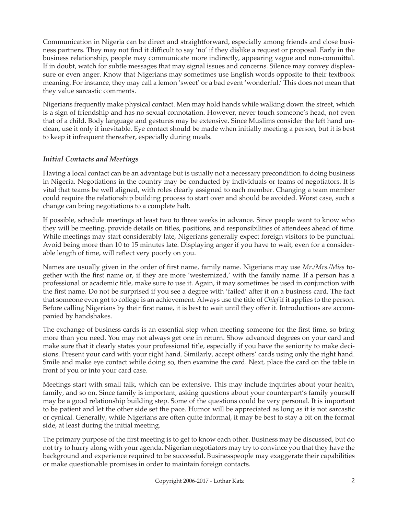Communication in Nigeria can be direct and straightforward, especially among friends and close business partners. They may not find it difficult to say 'no' if they dislike a request or proposal. Early in the business relationship, people may communicate more indirectly, appearing vague and non-committal. If in doubt, watch for subtle messages that may signal issues and concerns. Silence may convey displeasure or even anger. Know that Nigerians may sometimes use English words opposite to their textbook meaning. For instance, they may call a lemon 'sweet' or a bad event 'wonderful.' This does not mean that they value sarcastic comments.

Nigerians frequently make physical contact. Men may hold hands while walking down the street, which is a sign of friendship and has no sexual connotation. However, never touch someone's head, not even that of a child. Body language and gestures may be extensive. Since Muslims consider the left hand unclean, use it only if inevitable. Eye contact should be made when initially meeting a person, but it is best to keep it infrequent thereafter, especially during meals.

## *Initial Contacts and Meetings*

Having a local contact can be an advantage but is usually not a necessary precondition to doing business in Nigeria. Negotiations in the country may be conducted by individuals or teams of negotiators. It is vital that teams be well aligned, with roles clearly assigned to each member. Changing a team member could require the relationship building process to start over and should be avoided. Worst case, such a change can bring negotiations to a complete halt.

If possible, schedule meetings at least two to three weeks in advance. Since people want to know who they will be meeting, provide details on titles, positions, and responsibilities of attendees ahead of time. While meetings may start considerably late, Nigerians generally expect foreign visitors to be punctual. Avoid being more than 10 to 15 minutes late. Displaying anger if you have to wait, even for a considerable length of time, will reflect very poorly on you.

Names are usually given in the order of first name, family name. Nigerians may use *Mr./Mrs./Miss* together with the first name or, if they are more 'westernized,' with the family name. If a person has a professional or academic title, make sure to use it. Again, it may sometimes be used in conjunction with the first name. Do not be surprised if you see a degree with 'failed' after it on a business card. The fact that someone even got to college is an achievement. Always use the title of *Chief* if it applies to the person. Before calling Nigerians by their first name, it is best to wait until they offer it. Introductions are accompanied by handshakes.

The exchange of business cards is an essential step when meeting someone for the first time, so bring more than you need. You may not always get one in return. Show advanced degrees on your card and make sure that it clearly states your professional title, especially if you have the seniority to make decisions. Present your card with your right hand. Similarly, accept others' cards using only the right hand. Smile and make eye contact while doing so, then examine the card. Next, place the card on the table in front of you or into your card case.

Meetings start with small talk, which can be extensive. This may include inquiries about your health, family, and so on. Since family is important, asking questions about your counterpart's family yourself may be a good relationship building step. Some of the questions could be very personal. It is important to be patient and let the other side set the pace. Humor will be appreciated as long as it is not sarcastic or cynical. Generally, while Nigerians are often quite informal, it may be best to stay a bit on the formal side, at least during the initial meeting.

The primary purpose of the first meeting is to get to know each other. Business may be discussed, but do not try to hurry along with your agenda. Nigerian negotiators may try to convince you that they have the background and experience required to be successful. Businesspeople may exaggerate their capabilities or make questionable promises in order to maintain foreign contacts.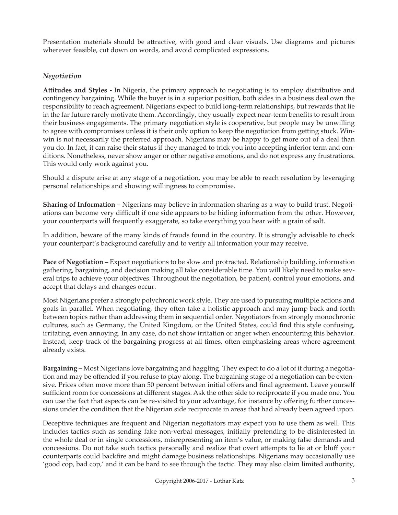Presentation materials should be attractive, with good and clear visuals. Use diagrams and pictures wherever feasible, cut down on words, and avoid complicated expressions.

# *Negotiation*

**Attitudes and Styles -** In Nigeria, the primary approach to negotiating is to employ distributive and contingency bargaining. While the buyer is in a superior position, both sides in a business deal own the responsibility to reach agreement. Nigerians expect to build long-term relationships, but rewards that lie in the far future rarely motivate them. Accordingly, they usually expect near-term benefits to result from their business engagements. The primary negotiation style is cooperative, but people may be unwilling to agree with compromises unless it is their only option to keep the negotiation from getting stuck. Winwin is not necessarily the preferred approach. Nigerians may be happy to get more out of a deal than you do. In fact, it can raise their status if they managed to trick you into accepting inferior term and conditions. Nonetheless, never show anger or other negative emotions, and do not express any frustrations. This would only work against you.

Should a dispute arise at any stage of a negotiation, you may be able to reach resolution by leveraging personal relationships and showing willingness to compromise.

**Sharing of Information –** Nigerians may believe in information sharing as a way to build trust. Negotiations can become very difficult if one side appears to be hiding information from the other. However, your counterparts will frequently exaggerate, so take everything you hear with a grain of salt.

In addition, beware of the many kinds of frauds found in the country. It is strongly advisable to check your counterpart's background carefully and to verify all information your may receive.

**Pace of Negotiation –** Expect negotiations to be slow and protracted. Relationship building, information gathering, bargaining, and decision making all take considerable time. You will likely need to make several trips to achieve your objectives. Throughout the negotiation, be patient, control your emotions, and accept that delays and changes occur.

Most Nigerians prefer a strongly polychronic work style. They are used to pursuing multiple actions and goals in parallel. When negotiating, they often take a holistic approach and may jump back and forth between topics rather than addressing them in sequential order. Negotiators from strongly monochronic cultures, such as Germany, the United Kingdom, or the United States, could find this style confusing, irritating, even annoying. In any case, do not show irritation or anger when encountering this behavior. Instead, keep track of the bargaining progress at all times, often emphasizing areas where agreement already exists.

**Bargaining –** Most Nigerians love bargaining and haggling. They expect to do a lot of it during a negotiation and may be offended if you refuse to play along. The bargaining stage of a negotiation can be extensive. Prices often move more than 50 percent between initial offers and final agreement. Leave yourself sufficient room for concessions at different stages. Ask the other side to reciprocate if you made one. You can use the fact that aspects can be re-visited to your advantage, for instance by offering further concessions under the condition that the Nigerian side reciprocate in areas that had already been agreed upon.

Deceptive techniques are frequent and Nigerian negotiators may expect you to use them as well. This includes tactics such as sending fake non-verbal messages, initially pretending to be disinterested in the whole deal or in single concessions, misrepresenting an item's value, or making false demands and concessions. Do not take such tactics personally and realize that overt attempts to lie at or bluff your counterparts could backfire and might damage business relationships. Nigerians may occasionally use 'good cop, bad cop,' and it can be hard to see through the tactic. They may also claim limited authority,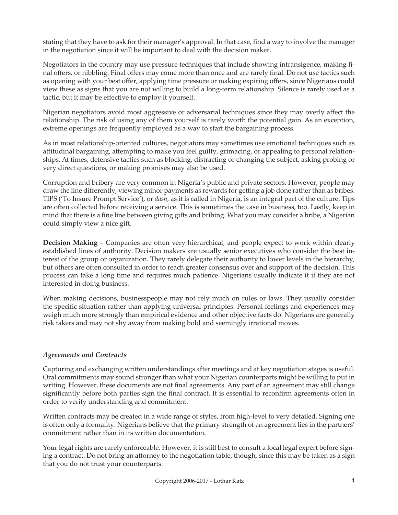stating that they have to ask for their manager's approval. In that case, find a way to involve the manager in the negotiation since it will be important to deal with the decision maker.

Negotiators in the country may use pressure techniques that include showing intransigence, making final offers, or nibbling. Final offers may come more than once and are rarely final. Do not use tactics such as opening with your best offer, applying time pressure or making expiring offers, since Nigerians could view these as signs that you are not willing to build a long-term relationship. Silence is rarely used as a tactic, but it may be effective to employ it yourself.

Nigerian negotiators avoid most aggressive or adversarial techniques since they may overly affect the relationship. The risk of using any of them yourself is rarely worth the potential gain. As an exception, extreme openings are frequently employed as a way to start the bargaining process.

As in most relationship-oriented cultures, negotiators may sometimes use emotional techniques such as attitudinal bargaining, attempting to make you feel guilty, grimacing, or appealing to personal relationships. At times, defensive tactics such as blocking, distracting or changing the subject, asking probing or very direct questions, or making promises may also be used.

Corruption and bribery are very common in Nigeria's public and private sectors. However, people may draw the line differently, viewing minor payments as rewards for getting a job done rather than as bribes. TIPS ('To Insure Prompt Service'), or *dash*, as it is called in Nigeria, is an integral part of the culture. Tips are often collected before receiving a service. This is sometimes the case in business, too. Lastly, keep in mind that there is a fine line between giving gifts and bribing. What you may consider a bribe, a Nigerian could simply view a nice gift.

**Decision Making –** Companies are often very hierarchical, and people expect to work within clearly established lines of authority. Decision makers are usually senior executives who consider the best interest of the group or organization. They rarely delegate their authority to lower levels in the hierarchy, but others are often consulted in order to reach greater consensus over and support of the decision. This process can take a long time and requires much patience. Nigerians usually indicate it if they are not interested in doing business.

When making decisions, businesspeople may not rely much on rules or laws. They usually consider the specific situation rather than applying universal principles. Personal feelings and experiences may weigh much more strongly than empirical evidence and other objective facts do. Nigerians are generally risk takers and may not shy away from making bold and seemingly irrational moves.

# *Agreements and Contracts*

Capturing and exchanging written understandings after meetings and at key negotiation stages is useful. Oral commitments may sound stronger than what your Nigerian counterparts might be willing to put in writing. However, these documents are not final agreements. Any part of an agreement may still change significantly before both parties sign the final contract. It is essential to reconfirm agreements often in order to verify understanding and commitment.

Written contracts may be created in a wide range of styles, from high-level to very detailed. Signing one is often only a formality. Nigerians believe that the primary strength of an agreement lies in the partners' commitment rather than in its written documentation.

Your legal rights are rarely enforceable. However, it is still best to consult a local legal expert before signing a contract. Do not bring an attorney to the negotiation table, though, since this may be taken as a sign that you do not trust your counterparts.